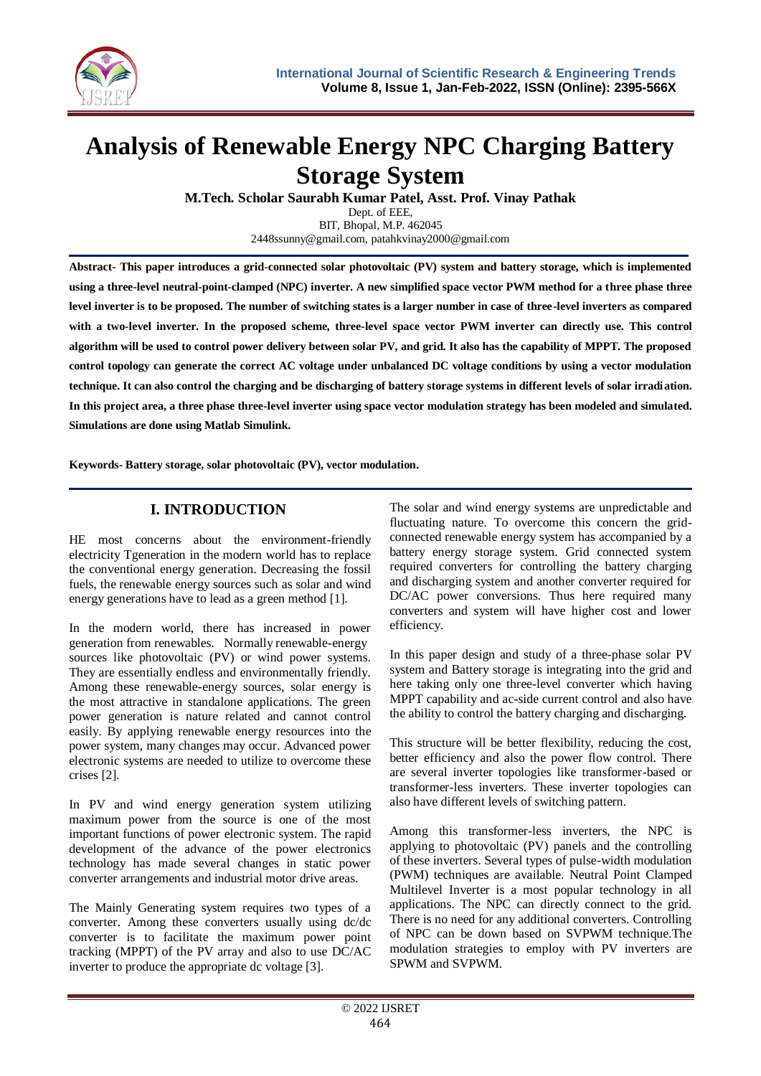

# **Analysis of Renewable Energy NPC Charging Battery Storage System**

**M.Tech. Scholar Saurabh Kumar Patel, Asst. Prof. Vinay Pathak** Dept. of EEE,

BIT, Bhopal, M.P. 462045 2448ssunny@gmail.com, patahkvinay2000@gmail.com

**Abstract- This paper introduces a grid-connected solar photovoltaic (PV) system and battery storage, which is implemented using a three-level neutral-point-clamped (NPC) inverter. A new simplified space vector PWM method for a three phase three level inverter is to be proposed. The number of switching states is a larger number in case of three-level inverters as compared**  with a two-level inverter. In the proposed scheme, three-level space vector PWM inverter can directly use. This control **algorithm will be used to control power delivery between solar PV, and grid. It also has the capability of MPPT. The proposed control topology can generate the correct AC voltage under unbalanced DC voltage conditions by using a vector modulation technique. It can also control the charging and be discharging of battery storage systems in different levels of solar irradiation. In this project area, a three phase three-level inverter using space vector modulation strategy has been modeled and simulated. Simulations are done using Matlab Simulink.**

**Keywords- Battery storage, solar photovoltaic (PV), vector modulation.**

# **I. INTRODUCTION**

HE most concerns about the environment-friendly electricity Tgeneration in the modern world has to replace the conventional energy generation. Decreasing the fossil fuels, the renewable energy sources such as solar and wind energy generations have to lead as a green method [1].

In the modern world, there has increased in power generation from renewables. Normally renewable-energy sources like photovoltaic (PV) or wind power systems. They are essentially endless and environmentally friendly. Among these renewable-energy sources, solar energy is the most attractive in standalone applications. The green power generation is nature related and cannot control easily. By applying renewable energy resources into the power system, many changes may occur. Advanced power electronic systems are needed to utilize to overcome these crises [2].

In PV and wind energy generation system utilizing maximum power from the source is one of the most important functions of power electronic system. The rapid development of the advance of the power electronics technology has made several changes in static power converter arrangements and industrial motor drive areas.

The Mainly Generating system requires two types of a converter. Among these converters usually using dc/dc converter is to facilitate the maximum power point tracking (MPPT) of the PV array and also to use DC/AC inverter to produce the appropriate dc voltage [3].

The solar and wind energy systems are unpredictable and fluctuating nature. To overcome this concern the gridconnected renewable energy system has accompanied by a battery energy storage system. Grid connected system required converters for controlling the battery charging and discharging system and another converter required for DC/AC power conversions. Thus here required many converters and system will have higher cost and lower efficiency.

In this paper design and study of a three-phase solar PV system and Battery storage is integrating into the grid and here taking only one three-level converter which having MPPT capability and ac-side current control and also have the ability to control the battery charging and discharging.

This structure will be better flexibility, reducing the cost, better efficiency and also the power flow control. There are several inverter topologies like transformer-based or transformer-less inverters. These inverter topologies can also have different levels of switching pattern.

Among this transformer-less inverters, the NPC is applying to photovoltaic (PV) panels and the controlling of these inverters. Several types of pulse-width modulation (PWM) techniques are available. Neutral Point Clamped Multilevel Inverter is a most popular technology in all applications. The NPC can directly connect to the grid. There is no need for any additional converters. Controlling of NPC can be down based on SVPWM technique.The modulation strategies to employ with PV inverters are SPWM and SVPWM.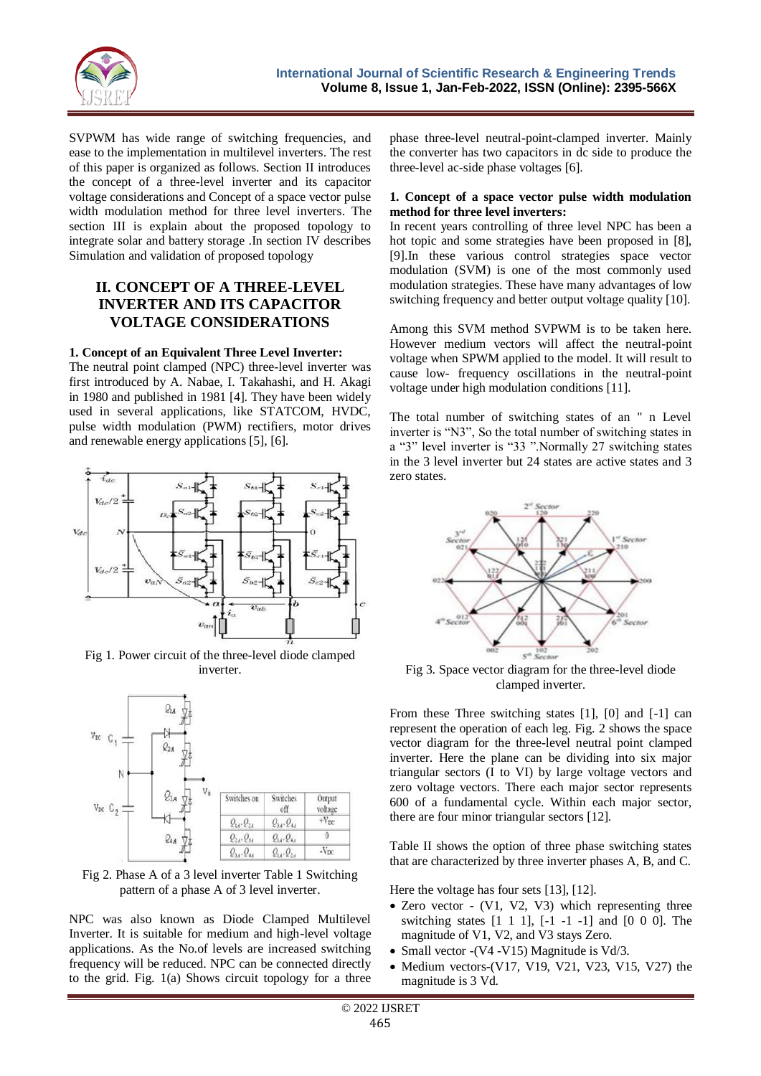

SVPWM has wide range of switching frequencies, and ease to the implementation in multilevel inverters. The rest of this paper is organized as follows. Section II introduces the concept of a three-level inverter and its capacitor voltage considerations and Concept of a space vector pulse width modulation method for three level inverters. The section III is explain about the proposed topology to integrate solar and battery storage .In section IV describes Simulation and validation of proposed topology

# **II. CONCEPT OF A THREE-LEVEL INVERTER AND ITS CAPACITOR VOLTAGE CONSIDERATIONS**

#### **1. Concept of an Equivalent Three Level Inverter:**

The neutral point clamped (NPC) three-level inverter was first introduced by A. Nabae, I. Takahashi, and H. Akagi in 1980 and published in 1981 [4]. They have been widely used in several applications, like STATCOM, HVDC, pulse width modulation (PWM) rectifiers, motor drives and renewable energy applications [5], [6].



Fig 1. Power circuit of the three-level diode clamped inverter.



Fig 2. Phase A of a 3 level inverter Table 1 Switching pattern of a phase A of 3 level inverter.

NPC was also known as Diode Clamped Multilevel Inverter. It is suitable for medium and high-level voltage applications. As the No.of levels are increased switching frequency will be reduced. NPC can be connected directly to the grid. Fig. 1(a) Shows circuit topology for a three phase three-level neutral-point-clamped inverter. Mainly the converter has two capacitors in dc side to produce the three-level ac-side phase voltages [6].

#### **1. Concept of a space vector pulse width modulation method for three level inverters:**

In recent years controlling of three level NPC has been a hot topic and some strategies have been proposed in [8], [9].In these various control strategies space vector modulation (SVM) is one of the most commonly used modulation strategies. These have many advantages of low switching frequency and better output voltage quality [10].

Among this SVM method SVPWM is to be taken here. However medium vectors will affect the neutral-point voltage when SPWM applied to the model. It will result to cause low- frequency oscillations in the neutral-point voltage under high modulation conditions [11].

The total number of switching states of an " n Level inverter is "N3", So the total number of switching states in a "3" level inverter is "33 ".Normally 27 switching states in the 3 level inverter but 24 states are active states and 3 zero states.



Fig 3. Space vector diagram for the three-level diode clamped inverter.

From these Three switching states [1], [0] and [-1] can represent the operation of each leg. Fig. 2 shows the space vector diagram for the three-level neutral point clamped inverter. Here the plane can be dividing into six major triangular sectors (I to VI) by large voltage vectors and zero voltage vectors. There each major sector represents 600 of a fundamental cycle. Within each major sector, there are four minor triangular sectors [12].

Table II shows the option of three phase switching states that are characterized by three inverter phases A, B, and C.

Here the voltage has four sets [13], [12].

- Zero vector (V1, V2, V3) which representing three switching states  $[1 \ 1 \ 1]$ ,  $[-1 \ -1 \ -1]$  and  $[0 \ 0 \ 0]$ . The magnitude of V1, V2, and V3 stays Zero.
- Small vector -(V4 -V15) Magnitude is Vd/3.
- $\bullet$  Medium vectors-(V17, V19, V21, V23, V15, V27) the magnitude is 3 Vd.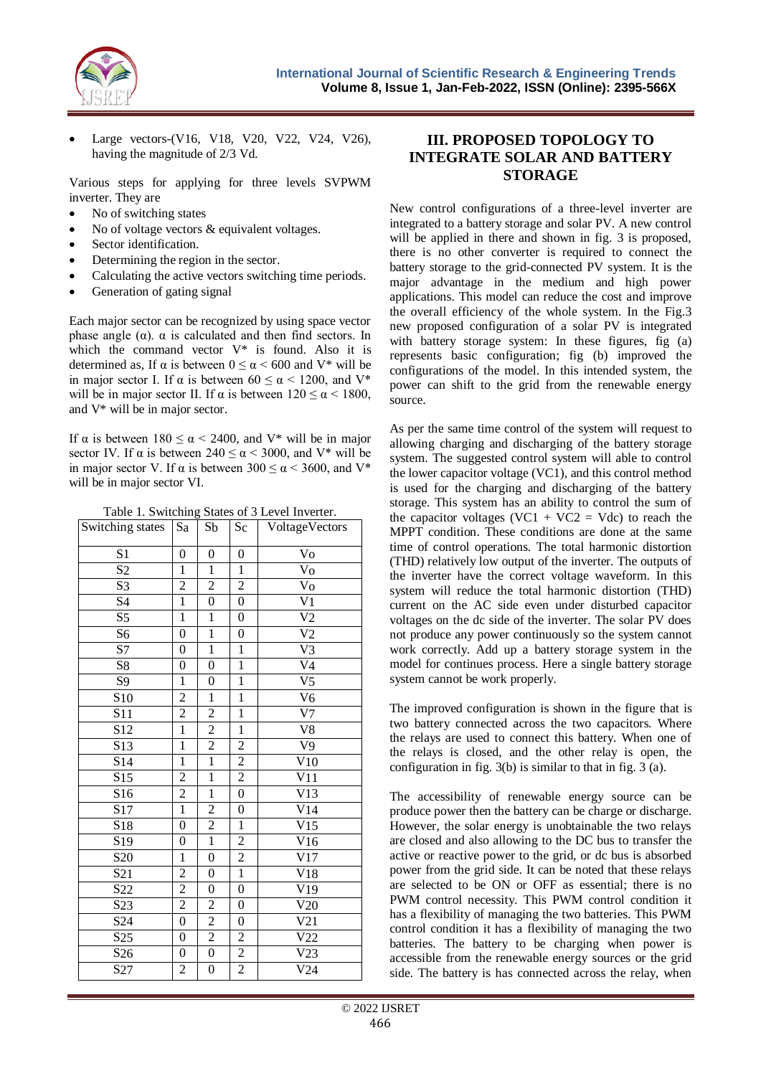

 Large vectors-(V16, V18, V20, V22, V24, V26), having the magnitude of 2/3 Vd.

Various steps for applying for three levels SVPWM inverter. They are

- No of switching states
- No of voltage vectors & equivalent voltages.
- Sector identification.
- Determining the region in the sector.
- Calculating the active vectors switching time periods.
- Generation of gating signal

Each major sector can be recognized by using space vector phase angle ( $α$ ).  $α$  is calculated and then find sectors. In which the command vector  $V^*$  is found. Also it is determined as, If  $\alpha$  is between  $0 \le \alpha < 600$  and V\* will be in major sector I. If  $\alpha$  is between  $60 \le \alpha < 1200$ , and V<sup>\*</sup> will be in major sector II. If  $\alpha$  is between  $120 \le \alpha < 1800$ , and V\* will be in major sector.

If  $\alpha$  is between 180  $\leq \alpha < 2400$ , and V<sup>\*</sup> will be in major sector IV. If  $\alpha$  is between 240  $\leq \alpha \leq 3000$ , and V<sup>\*</sup> will be in major sector V. If  $\alpha$  is between 300  $\leq \alpha < 3600$ , and V\* will be in major sector VI.

Table 1. Switching States of 3 Level Inverter.

| Switching states | Sa               | Sb               | $S_{\rm C}$      | VoltageVectors    |  |
|------------------|------------------|------------------|------------------|-------------------|--|
| S <sub>1</sub>   | $\boldsymbol{0}$ | $\boldsymbol{0}$ | $\boldsymbol{0}$ | Vo                |  |
| S <sub>2</sub>   | $\mathbf{1}$     | $\mathbf{1}$     | $\mathbf{1}$     | $\overline{V}_0$  |  |
| S3               | $\overline{c}$   | $\overline{2}$   | $\overline{2}$   | Vo                |  |
| S4               | $\overline{1}$   | $\boldsymbol{0}$ | $\overline{0}$   | $\overline{V1}$   |  |
| $\overline{S5}$  | $\overline{1}$   | $\overline{1}$   | $\boldsymbol{0}$ | $\overline{V2}$   |  |
| S6               | $\overline{0}$   | $\overline{1}$   | $\overline{0}$   | $\overline{v}_2$  |  |
| S7               | $\overline{0}$   | $\mathbf{1}$     | $\mathbf{1}$     | V3                |  |
| ${\rm S}8$       | $\boldsymbol{0}$ | $\boldsymbol{0}$ | $\mathbf{1}$     | $\overline{V4}$   |  |
| S <sub>9</sub>   | $\mathbf 1$      | $\boldsymbol{0}$ | $\overline{1}$   | $\overline{V}$    |  |
| S <sub>10</sub>  | $\overline{c}$   | $\mathbf{1}$     | $\mathbf{1}$     | V <sub>6</sub>    |  |
| S11              | $\overline{2}$   | $\overline{c}$   | $\mathbf{1}$     | V <sub>7</sub>    |  |
| S <sub>12</sub>  | $\overline{1}$   | $\overline{2}$   | $\mathbf{1}$     | $\overline{v}_8$  |  |
| S <sub>13</sub>  | $\mathbf{1}$     | $\overline{2}$   | $\overline{c}$   | $\overline{V}9$   |  |
| S <sub>14</sub>  | $\mathbf{1}$     | $\overline{1}$   | $\overline{2}$   | V10               |  |
| S15              | $\overline{c}$   | $\mathbf{1}$     | $\boldsymbol{2}$ | V11               |  |
| S16              | $\overline{2}$   | $\overline{1}$   | $\overline{0}$   | $\overline{V}$ 13 |  |
| S <sub>17</sub>  | $\mathbf{1}$     | $\overline{2}$   | $\boldsymbol{0}$ | V14               |  |
| S18              | $\overline{0}$   | $\overline{c}$   | $\mathbf{1}$     | $\overline{V}$ 15 |  |
| S <sub>19</sub>  | $\overline{0}$   | $\overline{1}$   | $\overline{2}$   | $\overline{V}$ 16 |  |
| S <sub>20</sub>  | $\mathbf{1}$     | $\boldsymbol{0}$ | $\overline{2}$   | V17               |  |
| S <sub>21</sub>  | $\overline{c}$   | $\boldsymbol{0}$ | $\mathbf{1}$     | $\rm V18$         |  |
| S <sub>22</sub>  | $\overline{2}$   | $\boldsymbol{0}$ | $\boldsymbol{0}$ | $\overline{V}$ 19 |  |
| S <sub>23</sub>  | $\overline{2}$   | $\overline{2}$   | $\boldsymbol{0}$ | $\overline{V}20$  |  |
| S <sub>24</sub>  | $\boldsymbol{0}$ | $\overline{c}$   | $\boldsymbol{0}$ | V21               |  |
| S <sub>25</sub>  | $\overline{0}$   | $\overline{c}$   | $\overline{2}$   | V <sub>22</sub>   |  |
| S <sub>26</sub>  | $\boldsymbol{0}$ | $\boldsymbol{0}$ | $\mathbf{2}$     | V23               |  |
| S <sub>27</sub>  | $\boldsymbol{2}$ | $\boldsymbol{0}$ | $\overline{c}$   | V24               |  |

## **III. PROPOSED TOPOLOGY TO INTEGRATE SOLAR AND BATTERY STORAGE**

New control configurations of a three-level inverter are integrated to a battery storage and solar PV. A new control will be applied in there and shown in fig. 3 is proposed, there is no other converter is required to connect the battery storage to the grid-connected PV system. It is the major advantage in the medium and high power applications. This model can reduce the cost and improve the overall efficiency of the whole system. In the Fig.3 new proposed configuration of a solar PV is integrated with battery storage system: In these figures, fig (a) represents basic configuration; fig (b) improved the configurations of the model. In this intended system, the power can shift to the grid from the renewable energy source.

As per the same time control of the system will request to allowing charging and discharging of the battery storage system. The suggested control system will able to control the lower capacitor voltage (VC1), and this control method is used for the charging and discharging of the battery storage. This system has an ability to control the sum of the capacitor voltages (VC1 + VC2 = Vdc) to reach the MPPT condition. These conditions are done at the same time of control operations. The total harmonic distortion (THD) relatively low output of the inverter. The outputs of the inverter have the correct voltage waveform. In this system will reduce the total harmonic distortion (THD) current on the AC side even under disturbed capacitor voltages on the dc side of the inverter. The solar PV does not produce any power continuously so the system cannot work correctly. Add up a battery storage system in the model for continues process. Here a single battery storage system cannot be work properly.

The improved configuration is shown in the figure that is two battery connected across the two capacitors. Where the relays are used to connect this battery. When one of the relays is closed, and the other relay is open, the configuration in fig. 3(b) is similar to that in fig. 3 (a).

The accessibility of renewable energy source can be produce power then the battery can be charge or discharge. However, the solar energy is unobtainable the two relays are closed and also allowing to the DC bus to transfer the active or reactive power to the grid, or dc bus is absorbed power from the grid side. It can be noted that these relays are selected to be ON or OFF as essential; there is no PWM control necessity. This PWM control condition it has a flexibility of managing the two batteries. This PWM control condition it has a flexibility of managing the two batteries. The battery to be charging when power is accessible from the renewable energy sources or the grid side. The battery is has connected across the relay, when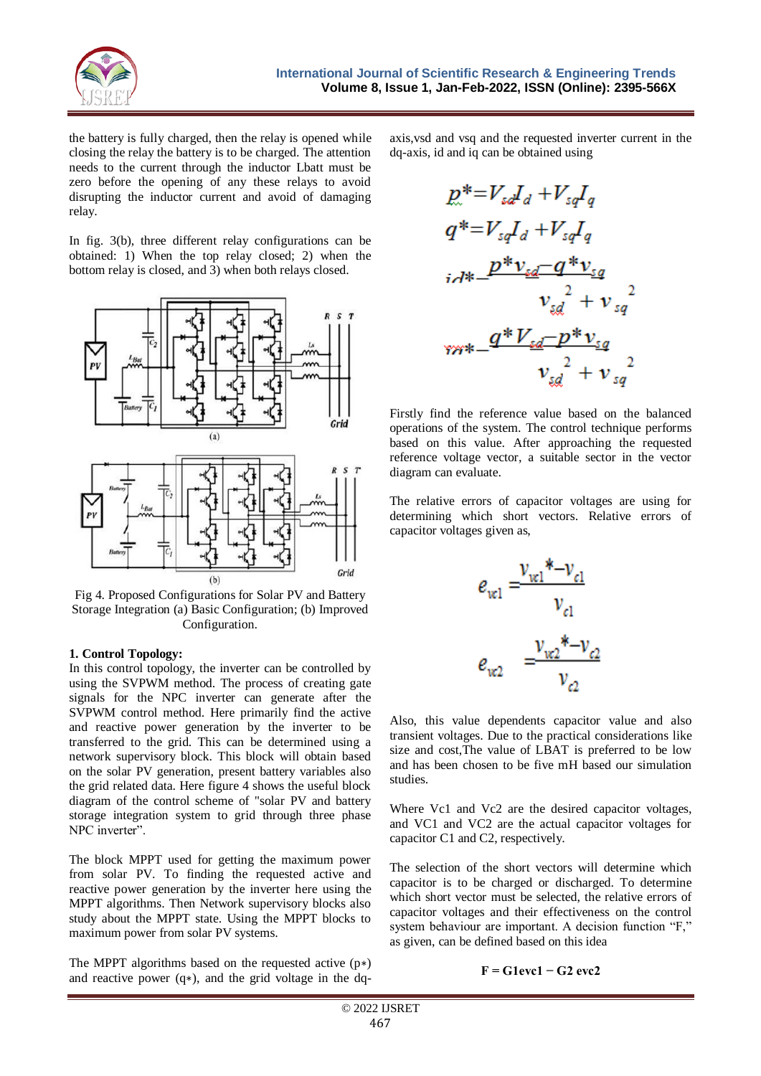

the battery is fully charged, then the relay is opened while closing the relay the battery is to be charged. The attention needs to the current through the inductor Lbatt must be zero before the opening of any these relays to avoid disrupting the inductor current and avoid of damaging relay.

In fig. 3(b), three different relay configurations can be obtained: 1) When the top relay closed; 2) when the bottom relay is closed, and 3) when both relays closed.



Fig 4. Proposed Configurations for Solar PV and Battery Storage Integration (a) Basic Configuration; (b) Improved Configuration.

#### **1. Control Topology:**

In this control topology, the inverter can be controlled by using the SVPWM method. The process of creating gate signals for the NPC inverter can generate after the SVPWM control method. Here primarily find the active and reactive power generation by the inverter to be transferred to the grid. This can be determined using a network supervisory block. This block will obtain based on the solar PV generation, present battery variables also the grid related data. Here figure 4 shows the useful block diagram of the control scheme of "solar PV and battery storage integration system to grid through three phase NPC inverter".

The block MPPT used for getting the maximum power from solar PV. To finding the requested active and reactive power generation by the inverter here using the MPPT algorithms. Then Network supervisory blocks also study about the MPPT state. Using the MPPT blocks to maximum power from solar PV systems.

The MPPT algorithms based on the requested active (p∗) and reactive power (q∗), and the grid voltage in the dq-

axis,vsd and vsq and the requested inverter current in the dq-axis, id and iq can be obtained using

$$
p^* = V_{sd}I_d + V_{sq}I_q
$$
  
\n
$$
q^* = V_{sq}I_d + V_{sq}I_q
$$
  
\n
$$
i\partial t^* = \frac{p^*v_{sd} - q^*v_{sq}}{v_{sd}^2 + v_{sq}^2}
$$
  
\n
$$
v_{sd}^2 + v_{sq}^2
$$
  
\n
$$
v_{sd}^2 + v_{sq}^2
$$
  
\n
$$
v_{sd}^2 + v_{sq}^2
$$

Firstly find the reference value based on the balanced operations of the system. The control technique performs based on this value. After approaching the requested reference voltage vector, a suitable sector in the vector diagram can evaluate.

The relative errors of capacitor voltages are using for determining which short vectors. Relative errors of capacitor voltages given as,



Also, this value dependents capacitor value and also transient voltages. Due to the practical considerations like size and cost,The value of LBAT is preferred to be low and has been chosen to be five mH based our simulation studies.

Where Vc1 and Vc2 are the desired capacitor voltages, and VC1 and VC2 are the actual capacitor voltages for capacitor C1 and C2, respectively.

The selection of the short vectors will determine which capacitor is to be charged or discharged. To determine which short vector must be selected, the relative errors of capacitor voltages and their effectiveness on the control system behaviour are important. A decision function "F," as given, can be defined based on this idea

$$
F = G1 \text{e} \text{v} \text{c} \cdot 1 - G2 \text{e} \text{v} \text{c} \cdot 2
$$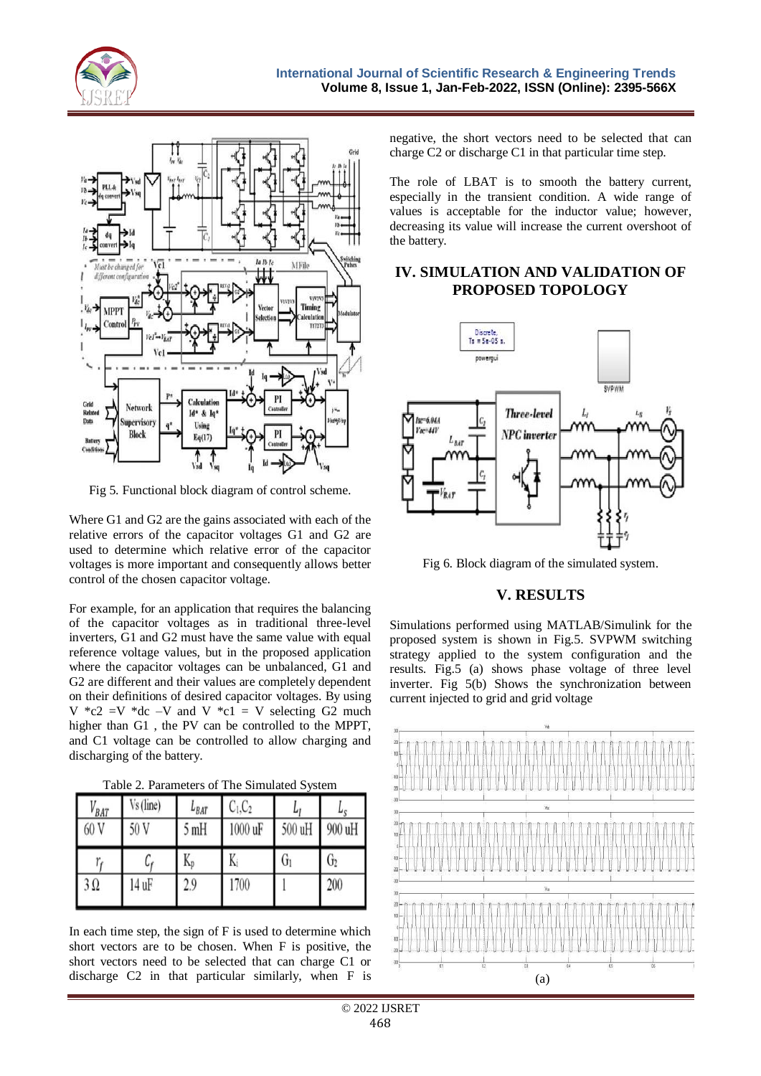



Fig 5. Functional block diagram of control scheme.

Where G1 and G2 are the gains associated with each of the relative errors of the capacitor voltages G1 and G2 are used to determine which relative error of the capacitor voltages is more important and consequently allows better control of the chosen capacitor voltage.

For example, for an application that requires the balancing of the capacitor voltages as in traditional three-level inverters, G1 and G2 must have the same value with equal reference voltage values, but in the proposed application where the capacitor voltages can be unbalanced, G1 and G2 are different and their values are completely dependent on their definitions of desired capacitor voltages. By using V  $^*c2 = V$   $^*dc -V$  and V  $^*c1 = V$  selecting G2 much higher than G1 , the PV can be controlled to the MPPT, and C1 voltage can be controlled to allow charging and discharging of the battery.

Table 2. Parameters of The Simulated System

| $V_{BAT}$<br>60 V | Vs (line)<br>50 V | $L_{BAT}$<br>) mH | $C_1,C_2$<br>1000 uF | υ<br>500 uH | $\mathbf{v}_{\text{S}}$<br>900 uH |
|-------------------|-------------------|-------------------|----------------------|-------------|-----------------------------------|
|                   | Uŕ                | K,                | K,                   | U           | $\mathsf{U}_2$                    |
| $3\Omega$         | 14 uF             | 29                | 1700                 |             | 200                               |

In each time step, the sign of F is used to determine which short vectors are to be chosen. When F is positive, the short vectors need to be selected that can charge C1 or discharge C2 in that particular similarly, when F is negative, the short vectors need to be selected that can charge C2 or discharge C1 in that particular time step.

The role of LBAT is to smooth the battery current, especially in the transient condition. A wide range of values is acceptable for the inductor value; however, decreasing its value will increase the current overshoot of the battery.

# **IV. SIMULATION AND VALIDATION OF PROPOSED TOPOLOGY**



Fig 6. Block diagram of the simulated system.

## **V. RESULTS**

Simulations performed using MATLAB/Simulink for the proposed system is shown in Fig.5. SVPWM switching strategy applied to the system configuration and the results. Fig.5 (a) shows phase voltage of three level inverter. Fig 5(b) Shows the synchronization between current injected to grid and grid voltage

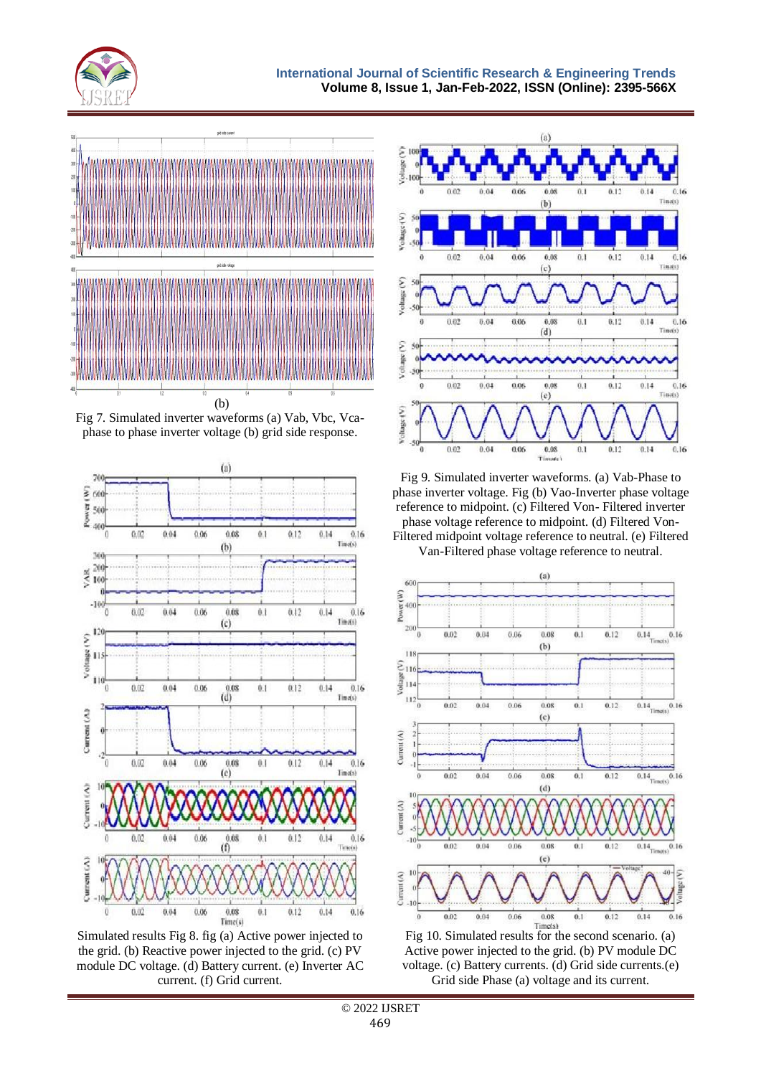



Fig 7. Simulated inverter waveforms (a) Vab, Vbc, Vcaphase to phase inverter voltage (b) grid side response.



Simulated results Fig 8. fig (a) Active power injected to the grid. (b) Reactive power injected to the grid. (c) PV module DC voltage. (d) Battery current. (e) Inverter AC current. (f) Grid current.



Fig 9. Simulated inverter waveforms. (a) Vab-Phase to phase inverter voltage. Fig (b) Vao-Inverter phase voltage reference to midpoint. (c) Filtered Von- Filtered inverter phase voltage reference to midpoint. (d) Filtered Von-

Filtered midpoint voltage reference to neutral. (e) Filtered Van-Filtered phase voltage reference to neutral.



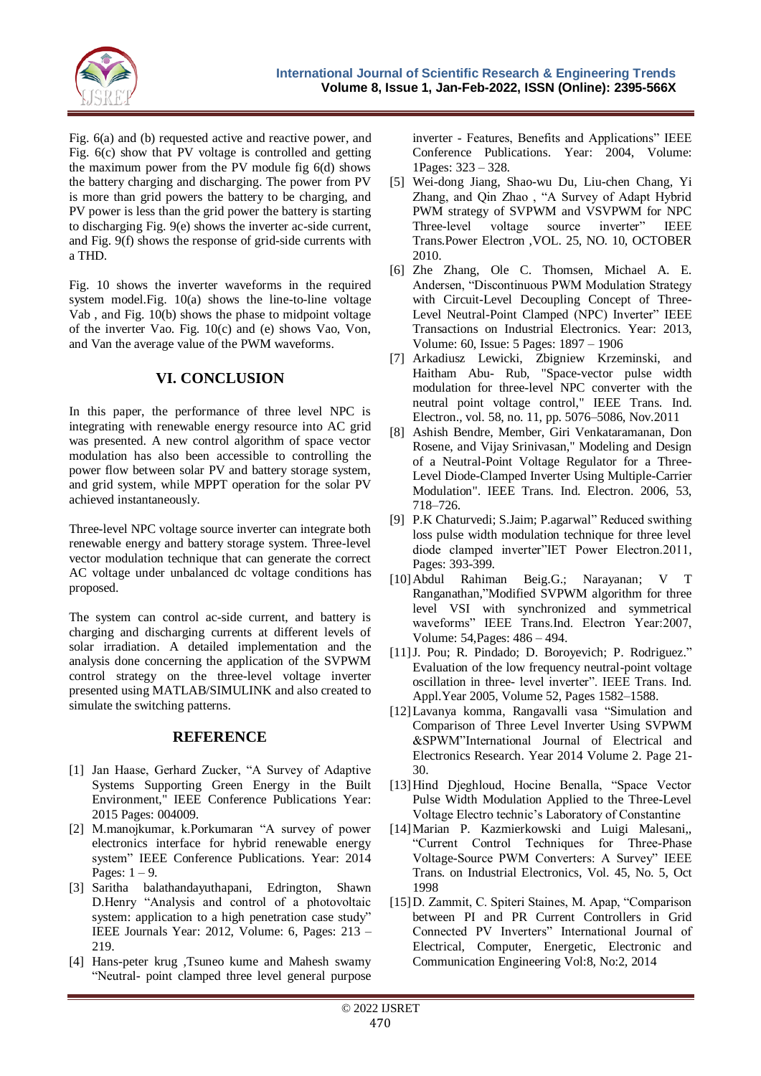

Fig. 6(a) and (b) requested active and reactive power, and Fig. 6(c) show that PV voltage is controlled and getting the maximum power from the PV module fig 6(d) shows the battery charging and discharging. The power from PV is more than grid powers the battery to be charging, and PV power is less than the grid power the battery is starting to discharging Fig. 9(e) shows the inverter ac-side current, and Fig. 9(f) shows the response of grid-side currents with a THD.

Fig. 10 shows the inverter waveforms in the required system model.Fig. 10(a) shows the line-to-line voltage Vab , and Fig. 10(b) shows the phase to midpoint voltage of the inverter Vao. Fig. 10(c) and (e) shows Vao, Von, and Van the average value of the PWM waveforms.

# **VI. CONCLUSION**

In this paper, the performance of three level NPC is integrating with renewable energy resource into AC grid was presented. A new control algorithm of space vector modulation has also been accessible to controlling the power flow between solar PV and battery storage system, and grid system, while MPPT operation for the solar PV achieved instantaneously.

Three-level NPC voltage source inverter can integrate both renewable energy and battery storage system. Three-level vector modulation technique that can generate the correct AC voltage under unbalanced dc voltage conditions has proposed.

The system can control ac-side current, and battery is charging and discharging currents at different levels of solar irradiation. A detailed implementation and the analysis done concerning the application of the SVPWM control strategy on the three-level voltage inverter presented using MATLAB/SIMULINK and also created to simulate the switching patterns.

## **REFERENCE**

- [1] Jan Haase, Gerhard Zucker, "A Survey of Adaptive Systems Supporting Green Energy in the Built Environment," IEEE Conference Publications Year: 2015 Pages: 004009.
- [2] M.manojkumar, k.Porkumaran "A survey of power electronics interface for hybrid renewable energy system" IEEE Conference Publications. Year: 2014 Pages:  $1 - 9$ .
- [3] Saritha balathandayuthapani, Edrington, Shawn D.Henry "Analysis and control of a photovoltaic system: application to a high penetration case study" IEEE Journals Year: 2012, Volume: 6, Pages: 213 – 219.
- [4] Hans-peter krug ,Tsuneo kume and Mahesh swamy "Neutral- point clamped three level general purpose

inverter - Features, Benefits and Applications" IEEE Conference Publications. Year: 2004, Volume: 1Pages: 323 – 328.

- [5] Wei-dong Jiang, Shao-wu Du, Liu-chen Chang, Yi Zhang, and Qin Zhao , "A Survey of Adapt Hybrid PWM strategy of SVPWM and VSVPWM for NPC Three-level voltage source inverter" IEEE Trans.Power Electron ,VOL. 25, NO. 10, OCTOBER 2010.
- [6] Zhe Zhang, Ole C. Thomsen, Michael A. E. Andersen, "Discontinuous PWM Modulation Strategy with Circuit-Level Decoupling Concept of Three-Level Neutral-Point Clamped (NPC) Inverter" IEEE Transactions on Industrial Electronics. Year: 2013, Volume: 60, Issue: 5 Pages: 1897 – 1906
- [7] Arkadiusz Lewicki, Zbigniew Krzeminski, and Haitham Abu- Rub, "Space-vector pulse width modulation for three-level NPC converter with the neutral point voltage control," IEEE Trans. Ind. Electron., vol. 58, no. 11, pp. 5076–5086, Nov.2011
- [8] Ashish Bendre, Member, Giri Venkataramanan, Don Rosene, and Vijay Srinivasan," Modeling and Design of a Neutral-Point Voltage Regulator for a Three-Level Diode-Clamped Inverter Using Multiple-Carrier Modulation". IEEE Trans. Ind. Electron. 2006, 53, 718–726.
- [9] P.K Chaturvedi; S.Jaim; P.agarwal" Reduced swithing loss pulse width modulation technique for three level diode clamped inverter"IET Power Electron.2011, Pages: 393-399.
- [10]Abdul Rahiman Beig.G.; Narayanan; V T Ranganathan,"Modified SVPWM algorithm for three level VSI with synchronized and symmetrical waveforms" IEEE Trans.Ind. Electron Year:2007, Volume: 54,Pages: 486 – 494.
- [11]J. Pou; R. Pindado; D. Boroyevich; P. Rodriguez." Evaluation of the low frequency neutral-point voltage oscillation in three- level inverter". IEEE Trans. Ind. Appl.Year 2005, Volume 52, Pages 1582–1588.
- [12]Lavanya komma, Rangavalli vasa "Simulation and Comparison of Three Level Inverter Using SVPWM &SPWM"International Journal of Electrical and Electronics Research. Year 2014 Volume 2. Page 21- 30.
- [13]Hind Djeghloud, Hocine Benalla, "Space Vector Pulse Width Modulation Applied to the Three-Level Voltage Electro technic's Laboratory of Constantine
- [14]Marian P. Kazmierkowski and Luigi Malesani,, "Current Control Techniques for Three-Phase Voltage-Source PWM Converters: A Survey" IEEE Trans. on Industrial Electronics, Vol. 45, No. 5, Oct 1998
- [15]D. Zammit, C. Spiteri Staines, M. Apap, "Comparison between PI and PR Current Controllers in Grid Connected PV Inverters" International Journal of Electrical, Computer, Energetic, Electronic and Communication Engineering Vol:8, No:2, 2014